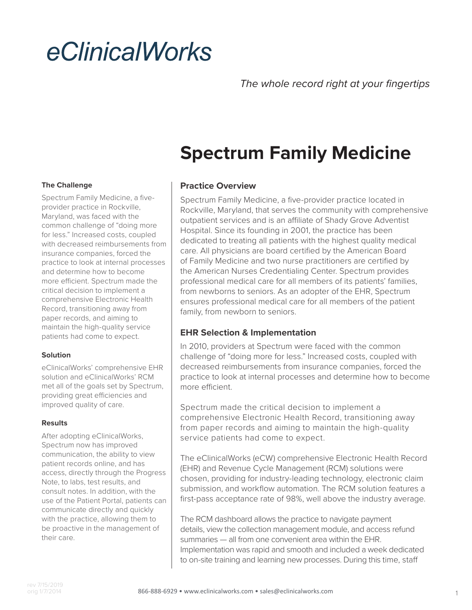# eClinicalWorks

## **Spectrum Family Medicine**

#### **The Challenge**

Spectrum Family Medicine, a fiveprovider practice in Rockville, Maryland, was faced with the common challenge of "doing more for less." Increased costs, coupled with decreased reimbursements from insurance companies, forced the practice to look at internal processes and determine how to become more efficient. Spectrum made the critical decision to implement a comprehensive Electronic Health Record, transitioning away from paper records, and aiming to maintain the high-quality service patients had come to expect.

#### **Solution**

eClinicalWorks' comprehensive EHR solution and eClinicalWorks' RCM met all of the goals set by Spectrum, providing great efficiencies and improved quality of care.

#### **Results**

After adopting eClinicalWorks, Spectrum now has improved communication, the ability to view patient records online, and has access, directly through the Progress Note, to labs, test results, and consult notes. In addition, with the use of the Patient Portal, patients can communicate directly and quickly with the practice, allowing them to be proactive in the management of their care.

#### **Practice Overview**

Spectrum Family Medicine, a five-provider practice located in Rockville, Maryland, that serves the community with comprehensive outpatient services and is an affiliate of Shady Grove Adventist Hospital. Since its founding in 2001, the practice has been dedicated to treating all patients with the highest quality medical care. All physicians are board certified by the American Board of Family Medicine and two nurse practitioners are certified by the American Nurses Credentialing Center. Spectrum provides professional medical care for all members of its patients' families, from newborns to seniors. As an adopter of the EHR, Spectrum ensures professional medical care for all members of the patient family, from newborn to seniors.

#### **EHR Selection & Implementation**

In 2010, providers at Spectrum were faced with the common challenge of "doing more for less." Increased costs, coupled with decreased reimbursements from insurance companies, forced the practice to look at internal processes and determine how to become more efficient.

Spectrum made the critical decision to implement a comprehensive Electronic Health Record, transitioning away from paper records and aiming to maintain the high-quality service patients had come to expect.

The eClinicalWorks (eCW) comprehensive Electronic Health Record (EHR) and Revenue Cycle Management (RCM) solutions were chosen, providing for industry-leading technology, electronic claim submission, and workflow automation. The RCM solution features a first-pass acceptance rate of 98%, well above the industry average.

The RCM dashboard allows the practice to navigate payment details, view the collection management module, and access refund summaries — all from one convenient area within the EHR. Implementation was rapid and smooth and included a week dedicated to on-site training and learning new processes. During this time, staff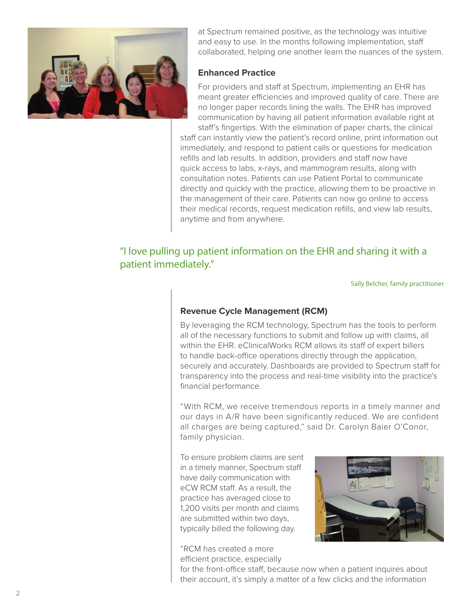

at Spectrum remained positive, as the technology was intuitive and easy to use. In the months following implementation, staff collaborated, helping one another learn the nuances of the system.

#### **Enhanced Practice**

For providers and staff at Spectrum, implementing an EHR has meant greater efficiencies and improved quality of care. There are no longer paper records lining the walls. The EHR has improved communication by having all patient information available right at staff's fingertips. With the elimination of paper charts, the clinical

staff can instantly view the patient's record online, print information out immediately, and respond to patient calls or questions for medication refills and lab results. In addition, providers and staff now have quick access to labs, x-rays, and mammogram results, along with consultation notes. Patients can use Patient Portal to communicate directly and quickly with the practice, allowing them to be proactive in the management of their care. Patients can now go online to access their medical records, request medication refills, and view lab results, anytime and from anywhere.

### "I love pulling up patient information on the EHR and sharing it with a patient immediately."

Sally Belcher, family practitioner

#### **Revenue Cycle Management (RCM)**

By leveraging the RCM technology, Spectrum has the tools to perform all of the necessary functions to submit and follow up with claims, all within the EHR. eClinicalWorks RCM allows its staff of expert billers to handle back-office operations directly through the application, securely and accurately. Dashboards are provided to Spectrum staff for transparency into the process and real-time visibility into the practice's financial performance.

"With RCM, we receive tremendous reports in a timely manner and our days in A/R have been significantly reduced. We are confident all charges are being captured," said Dr. Carolyn Baier O'Conor, family physician.

To ensure problem claims are sent in a timely manner, Spectrum staff have daily communication with eCW RCM staff. As a result, the practice has averaged close to 1,200 visits per month and claims are submitted within two days, typically billed the following day.

#### "RCM has created a more efficient practice, especially



for the front-office staff, because now when a patient inquires about their account, it's simply a matter of a few clicks and the information